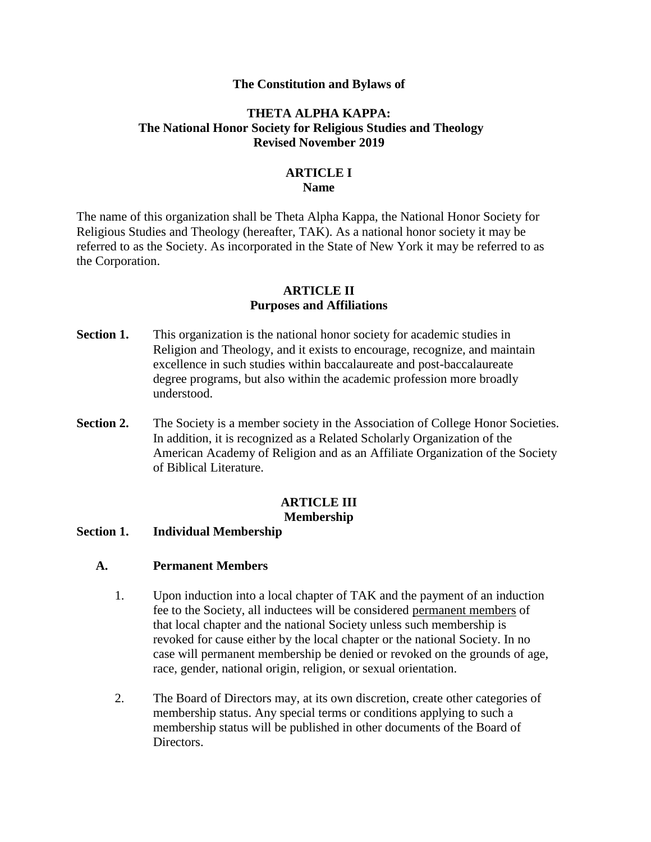#### **The Constitution and Bylaws of**

## **THETA ALPHA KAPPA: The National Honor Society for Religious Studies and Theology Revised November 2019**

### **ARTICLE I Name**

The name of this organization shall be Theta Alpha Kappa, the National Honor Society for Religious Studies and Theology (hereafter, TAK). As a national honor society it may be referred to as the Society. As incorporated in the State of New York it may be referred to as the Corporation.

#### **ARTICLE II Purposes and Affiliations**

- **Section 1.** This organization is the national honor society for academic studies in Religion and Theology, and it exists to encourage, recognize, and maintain excellence in such studies within baccalaureate and post-baccalaureate degree programs, but also within the academic profession more broadly understood.
- **Section 2.** The Society is a member society in the Association of College Honor Societies. In addition, it is recognized as a Related Scholarly Organization of the American Academy of Religion and as an Affiliate Organization of the Society of Biblical Literature.

#### **ARTICLE III Membership**

#### **Section 1. Individual Membership**

#### **A. Permanent Members**

- 1. Upon induction into a local chapter of TAK and the payment of an induction fee to the Society, all inductees will be considered permanent members of that local chapter and the national Society unless such membership is revoked for cause either by the local chapter or the national Society. In no case will permanent membership be denied or revoked on the grounds of age, race, gender, national origin, religion, or sexual orientation.
- 2. The Board of Directors may, at its own discretion, create other categories of membership status. Any special terms or conditions applying to such a membership status will be published in other documents of the Board of Directors.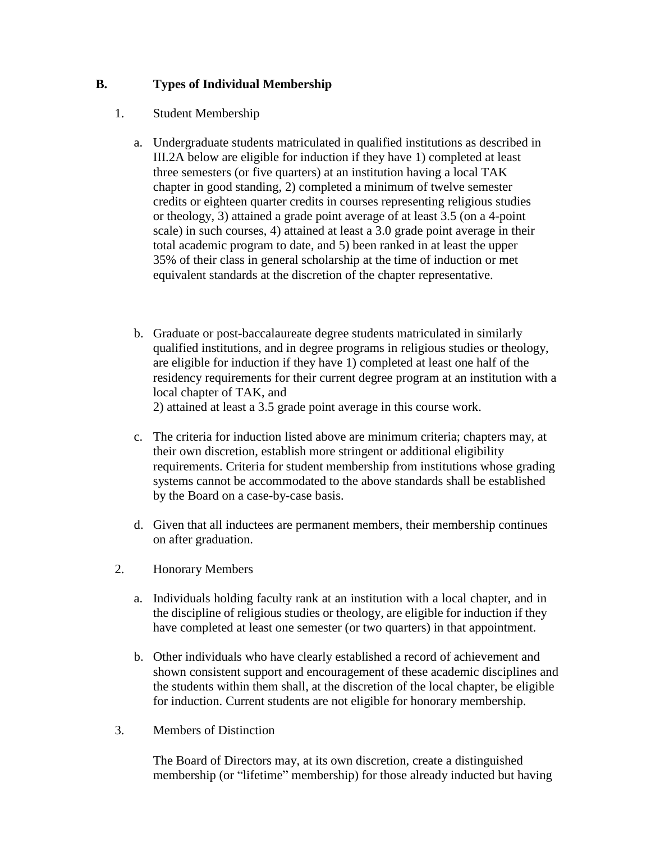# **B. Types of Individual Membership**

# 1. Student Membership

- a. Undergraduate students matriculated in qualified institutions as described in III.2A below are eligible for induction if they have 1) completed at least three semesters (or five quarters) at an institution having a local TAK chapter in good standing, 2) completed a minimum of twelve semester credits or eighteen quarter credits in courses representing religious studies or theology, 3) attained a grade point average of at least 3.5 (on a 4-point scale) in such courses, 4) attained at least a 3.0 grade point average in their total academic program to date, and 5) been ranked in at least the upper 35% of their class in general scholarship at the time of induction or met equivalent standards at the discretion of the chapter representative.
- b. Graduate or post-baccalaureate degree students matriculated in similarly qualified institutions, and in degree programs in religious studies or theology, are eligible for induction if they have 1) completed at least one half of the residency requirements for their current degree program at an institution with a local chapter of TAK, and 2) attained at least a 3.5 grade point average in this course work.
- c. The criteria for induction listed above are minimum criteria; chapters may, at their own discretion, establish more stringent or additional eligibility requirements. Criteria for student membership from institutions whose grading systems cannot be accommodated to the above standards shall be established by the Board on a case-by-case basis.
- d. Given that all inductees are permanent members, their membership continues on after graduation.
- 2. Honorary Members
	- a. Individuals holding faculty rank at an institution with a local chapter, and in the discipline of religious studies or theology, are eligible for induction if they have completed at least one semester (or two quarters) in that appointment.
	- b. Other individuals who have clearly established a record of achievement and shown consistent support and encouragement of these academic disciplines and the students within them shall, at the discretion of the local chapter, be eligible for induction. Current students are not eligible for honorary membership.
- 3. Members of Distinction

The Board of Directors may, at its own discretion, create a distinguished membership (or "lifetime" membership) for those already inducted but having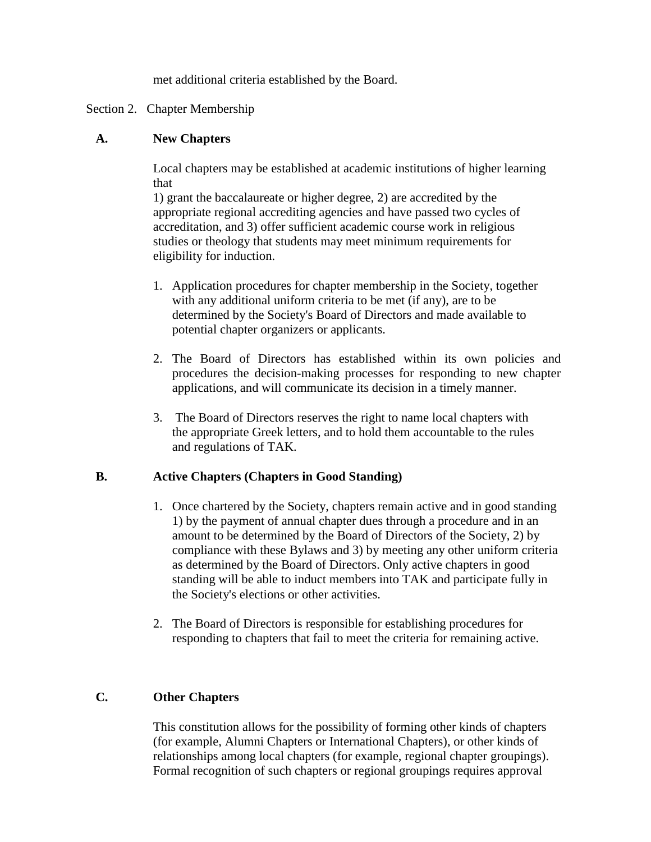met additional criteria established by the Board.

## Section 2. Chapter Membership

## **A. New Chapters**

Local chapters may be established at academic institutions of higher learning that

1) grant the baccalaureate or higher degree, 2) are accredited by the appropriate regional accrediting agencies and have passed two cycles of accreditation, and 3) offer sufficient academic course work in religious studies or theology that students may meet minimum requirements for eligibility for induction.

- 1. Application procedures for chapter membership in the Society, together with any additional uniform criteria to be met (if any), are to be determined by the Society's Board of Directors and made available to potential chapter organizers or applicants.
- 2. The Board of Directors has established within its own policies and procedures the decision-making processes for responding to new chapter applications, and will communicate its decision in a timely manner.
- 3. The Board of Directors reserves the right to name local chapters with the appropriate Greek letters, and to hold them accountable to the rules and regulations of TAK.

# **B. Active Chapters (Chapters in Good Standing)**

- 1. Once chartered by the Society, chapters remain active and in good standing 1) by the payment of annual chapter dues through a procedure and in an amount to be determined by the Board of Directors of the Society, 2) by compliance with these Bylaws and 3) by meeting any other uniform criteria as determined by the Board of Directors. Only active chapters in good standing will be able to induct members into TAK and participate fully in the Society's elections or other activities.
- 2. The Board of Directors is responsible for establishing procedures for responding to chapters that fail to meet the criteria for remaining active.

# **C. Other Chapters**

This constitution allows for the possibility of forming other kinds of chapters (for example, Alumni Chapters or International Chapters), or other kinds of relationships among local chapters (for example, regional chapter groupings). Formal recognition of such chapters or regional groupings requires approval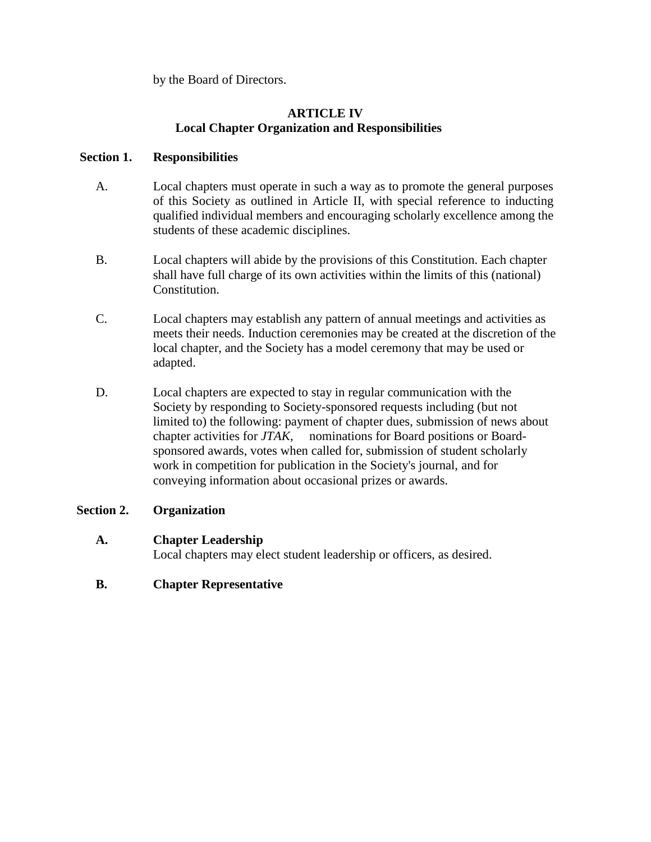by the Board of Directors.

# **ARTICLE IV Local Chapter Organization and Responsibilities**

# **Section 1. Responsibilities**

- A. Local chapters must operate in such a way as to promote the general purposes of this Society as outlined in Article II, with special reference to inducting qualified individual members and encouraging scholarly excellence among the students of these academic disciplines.
- B. Local chapters will abide by the provisions of this Constitution. Each chapter shall have full charge of its own activities within the limits of this (national) Constitution.
- C. Local chapters may establish any pattern of annual meetings and activities as meets their needs. Induction ceremonies may be created at the discretion of the local chapter, and the Society has a model ceremony that may be used or adapted.
- D. Local chapters are expected to stay in regular communication with the Society by responding to Society-sponsored requests including (but not limited to) the following: payment of chapter dues, submission of news about chapter activities for *JTAK*, nominations for Board positions or Boardsponsored awards, votes when called for, submission of student scholarly work in competition for publication in the Society's journal, and for conveying information about occasional prizes or awards.

# **Section 2. Organization**

### **A. Chapter Leadership**

Local chapters may elect student leadership or officers, as desired.

# **B. Chapter Representative**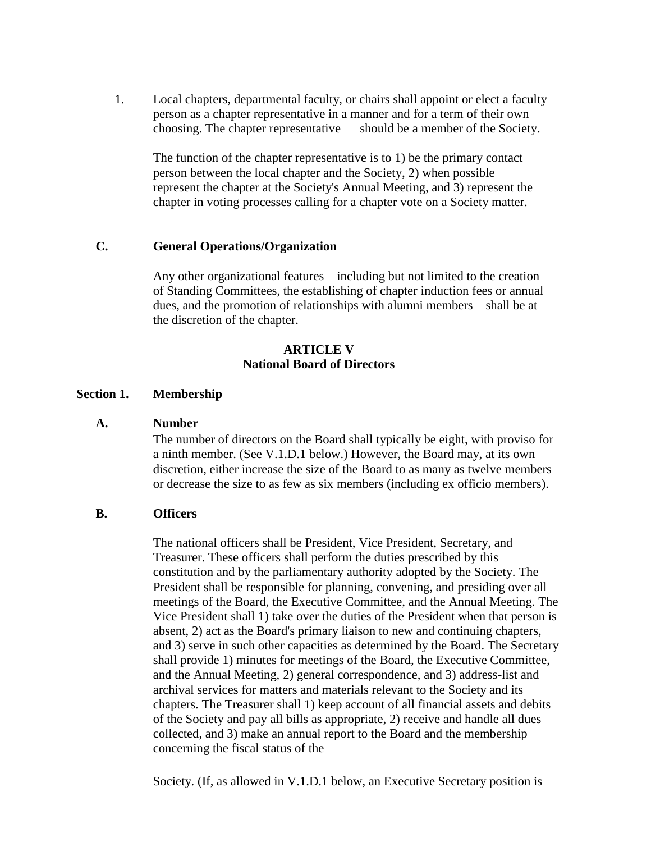1. Local chapters, departmental faculty, or chairs shall appoint or elect a faculty person as a chapter representative in a manner and for a term of their own choosing. The chapter representative should be a member of the Society.

The function of the chapter representative is to 1) be the primary contact person between the local chapter and the Society, 2) when possible represent the chapter at the Society's Annual Meeting, and 3) represent the chapter in voting processes calling for a chapter vote on a Society matter.

### **C. General Operations/Organization**

Any other organizational features—including but not limited to the creation of Standing Committees, the establishing of chapter induction fees or annual dues, and the promotion of relationships with alumni members—shall be at the discretion of the chapter.

#### **ARTICLE V National Board of Directors**

#### **Section 1. Membership**

#### **A. Number**

The number of directors on the Board shall typically be eight, with proviso for a ninth member. (See V.1.D.1 below.) However, the Board may, at its own discretion, either increase the size of the Board to as many as twelve members or decrease the size to as few as six members (including ex officio members).

#### **B. Officers**

The national officers shall be President, Vice President, Secretary, and Treasurer. These officers shall perform the duties prescribed by this constitution and by the parliamentary authority adopted by the Society. The President shall be responsible for planning, convening, and presiding over all meetings of the Board, the Executive Committee, and the Annual Meeting. The Vice President shall 1) take over the duties of the President when that person is absent, 2) act as the Board's primary liaison to new and continuing chapters, and 3) serve in such other capacities as determined by the Board. The Secretary shall provide 1) minutes for meetings of the Board, the Executive Committee, and the Annual Meeting, 2) general correspondence, and 3) address-list and archival services for matters and materials relevant to the Society and its chapters. The Treasurer shall 1) keep account of all financial assets and debits of the Society and pay all bills as appropriate, 2) receive and handle all dues collected, and 3) make an annual report to the Board and the membership concerning the fiscal status of the

Society. (If, as allowed in V.1.D.1 below, an Executive Secretary position is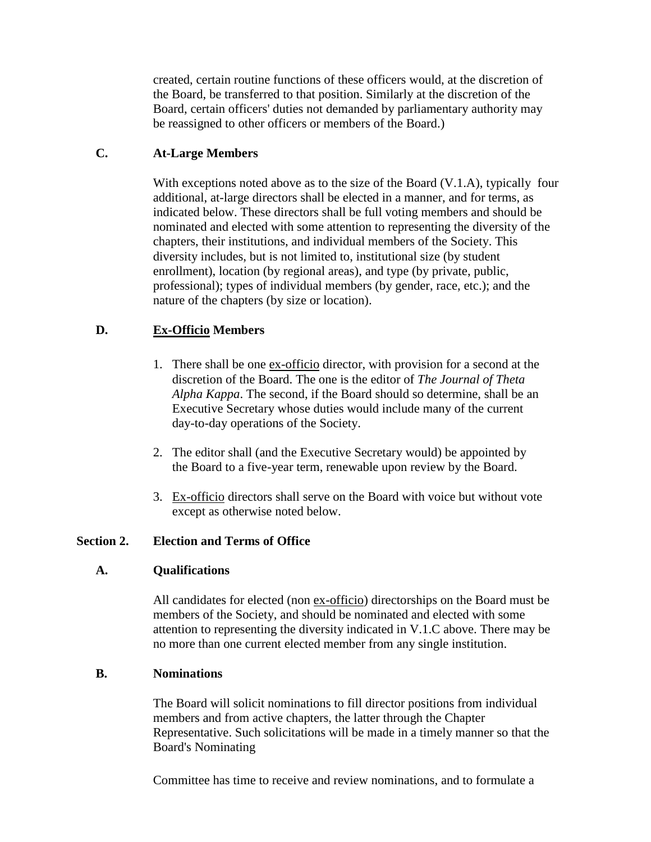created, certain routine functions of these officers would, at the discretion of the Board, be transferred to that position. Similarly at the discretion of the Board, certain officers' duties not demanded by parliamentary authority may be reassigned to other officers or members of the Board.)

## **C. At-Large Members**

With exceptions noted above as to the size of the Board  $(V, 1.A)$ , typically four additional, at-large directors shall be elected in a manner, and for terms, as indicated below. These directors shall be full voting members and should be nominated and elected with some attention to representing the diversity of the chapters, their institutions, and individual members of the Society. This diversity includes, but is not limited to, institutional size (by student enrollment), location (by regional areas), and type (by private, public, professional); types of individual members (by gender, race, etc.); and the nature of the chapters (by size or location).

### **D. Ex-Officio Members**

- 1. There shall be one ex-officio director, with provision for a second at the discretion of the Board. The one is the editor of *The Journal of Theta Alpha Kappa*. The second, if the Board should so determine, shall be an Executive Secretary whose duties would include many of the current day-to-day operations of the Society.
- 2. The editor shall (and the Executive Secretary would) be appointed by the Board to a five-year term, renewable upon review by the Board.
- 3. Ex-officio directors shall serve on the Board with voice but without vote except as otherwise noted below.

### **Section 2. Election and Terms of Office**

### **A. Qualifications**

All candidates for elected (non ex-officio) directorships on the Board must be members of the Society, and should be nominated and elected with some attention to representing the diversity indicated in V.1.C above. There may be no more than one current elected member from any single institution.

### **B. Nominations**

The Board will solicit nominations to fill director positions from individual members and from active chapters, the latter through the Chapter Representative. Such solicitations will be made in a timely manner so that the Board's Nominating

Committee has time to receive and review nominations, and to formulate a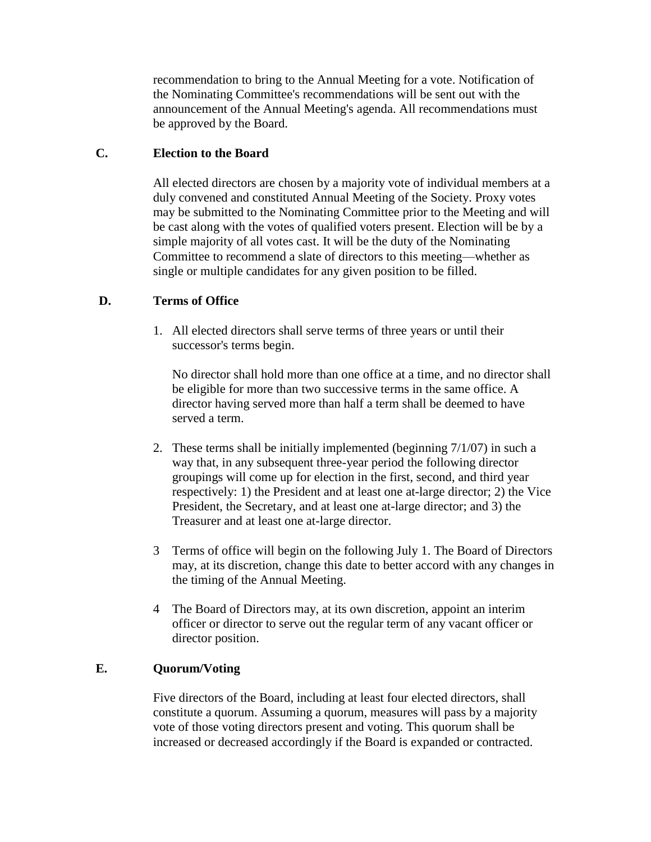recommendation to bring to the Annual Meeting for a vote. Notification of the Nominating Committee's recommendations will be sent out with the announcement of the Annual Meeting's agenda. All recommendations must be approved by the Board.

### **C. Election to the Board**

All elected directors are chosen by a majority vote of individual members at a duly convened and constituted Annual Meeting of the Society. Proxy votes may be submitted to the Nominating Committee prior to the Meeting and will be cast along with the votes of qualified voters present. Election will be by a simple majority of all votes cast. It will be the duty of the Nominating Committee to recommend a slate of directors to this meeting—whether as single or multiple candidates for any given position to be filled.

# **D. Terms of Office**

1. All elected directors shall serve terms of three years or until their successor's terms begin.

No director shall hold more than one office at a time, and no director shall be eligible for more than two successive terms in the same office. A director having served more than half a term shall be deemed to have served a term.

- 2. These terms shall be initially implemented (beginning 7/1/07) in such a way that, in any subsequent three-year period the following director groupings will come up for election in the first, second, and third year respectively: 1) the President and at least one at-large director; 2) the Vice President, the Secretary, and at least one at-large director; and 3) the Treasurer and at least one at-large director.
- 3 Terms of office will begin on the following July 1. The Board of Directors may, at its discretion, change this date to better accord with any changes in the timing of the Annual Meeting.
- 4 The Board of Directors may, at its own discretion, appoint an interim officer or director to serve out the regular term of any vacant officer or director position.

### **E. Quorum/Voting**

Five directors of the Board, including at least four elected directors, shall constitute a quorum. Assuming a quorum, measures will pass by a majority vote of those voting directors present and voting. This quorum shall be increased or decreased accordingly if the Board is expanded or contracted.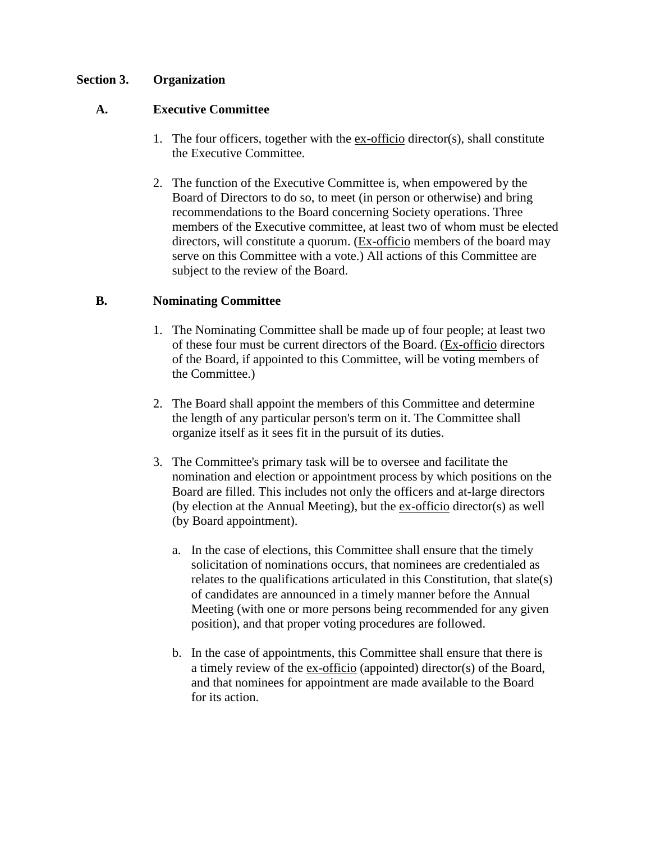### **Section 3. Organization**

### **A. Executive Committee**

- 1. The four officers, together with the ex-officio director(s), shall constitute the Executive Committee.
- 2. The function of the Executive Committee is, when empowered by the Board of Directors to do so, to meet (in person or otherwise) and bring recommendations to the Board concerning Society operations. Three members of the Executive committee, at least two of whom must be elected directors, will constitute a quorum. (Ex-officio members of the board may serve on this Committee with a vote.) All actions of this Committee are subject to the review of the Board.

### **B. Nominating Committee**

- 1. The Nominating Committee shall be made up of four people; at least two of these four must be current directors of the Board. (Ex-officio directors of the Board, if appointed to this Committee, will be voting members of the Committee.)
- 2. The Board shall appoint the members of this Committee and determine the length of any particular person's term on it. The Committee shall organize itself as it sees fit in the pursuit of its duties.
- 3. The Committee's primary task will be to oversee and facilitate the nomination and election or appointment process by which positions on the Board are filled. This includes not only the officers and at-large directors (by election at the Annual Meeting), but the ex-officio director(s) as well (by Board appointment).
	- a. In the case of elections, this Committee shall ensure that the timely solicitation of nominations occurs, that nominees are credentialed as relates to the qualifications articulated in this Constitution, that slate(s) of candidates are announced in a timely manner before the Annual Meeting (with one or more persons being recommended for any given position), and that proper voting procedures are followed.
	- b. In the case of appointments, this Committee shall ensure that there is a timely review of the ex-officio (appointed) director(s) of the Board, and that nominees for appointment are made available to the Board for its action.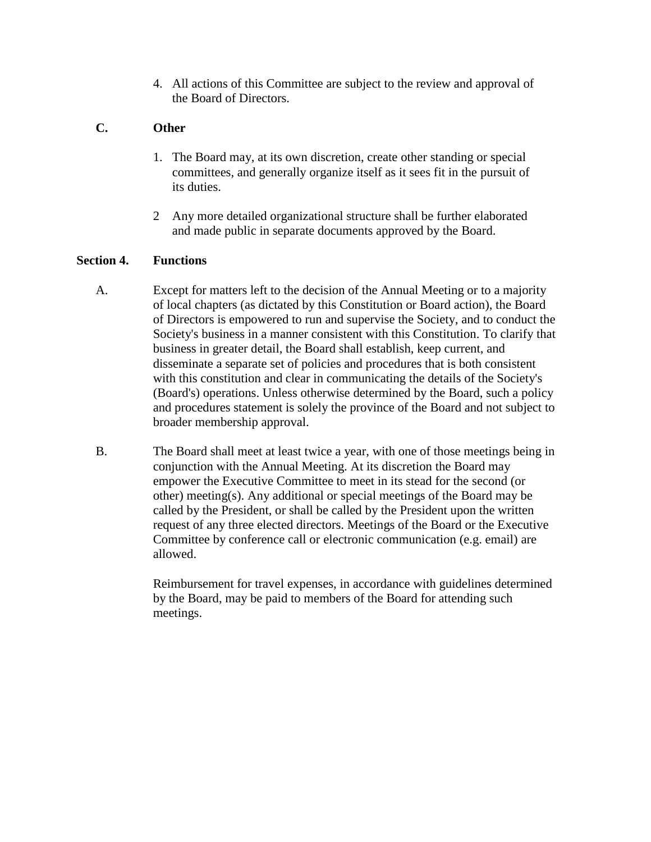4. All actions of this Committee are subject to the review and approval of the Board of Directors.

# **C. Other**

- 1. The Board may, at its own discretion, create other standing or special committees, and generally organize itself as it sees fit in the pursuit of its duties.
- 2 Any more detailed organizational structure shall be further elaborated and made public in separate documents approved by the Board.

# **Section 4. Functions**

- A. Except for matters left to the decision of the Annual Meeting or to a majority of local chapters (as dictated by this Constitution or Board action), the Board of Directors is empowered to run and supervise the Society, and to conduct the Society's business in a manner consistent with this Constitution. To clarify that business in greater detail, the Board shall establish, keep current, and disseminate a separate set of policies and procedures that is both consistent with this constitution and clear in communicating the details of the Society's (Board's) operations. Unless otherwise determined by the Board, such a policy and procedures statement is solely the province of the Board and not subject to broader membership approval.
- B. The Board shall meet at least twice a year, with one of those meetings being in conjunction with the Annual Meeting. At its discretion the Board may empower the Executive Committee to meet in its stead for the second (or other) meeting(s). Any additional or special meetings of the Board may be called by the President, or shall be called by the President upon the written request of any three elected directors. Meetings of the Board or the Executive Committee by conference call or electronic communication (e.g. email) are allowed.

Reimbursement for travel expenses, in accordance with guidelines determined by the Board, may be paid to members of the Board for attending such meetings.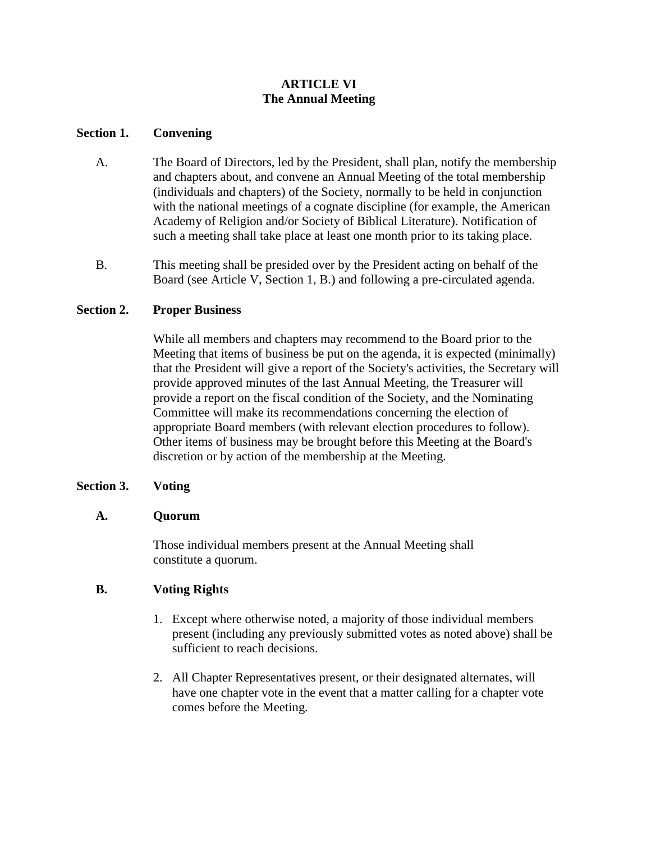# **ARTICLE VI The Annual Meeting**

### **Section 1. Convening**

- A. The Board of Directors, led by the President, shall plan, notify the membership and chapters about, and convene an Annual Meeting of the total membership (individuals and chapters) of the Society, normally to be held in conjunction with the national meetings of a cognate discipline (for example, the American Academy of Religion and/or Society of Biblical Literature). Notification of such a meeting shall take place at least one month prior to its taking place.
- B. This meeting shall be presided over by the President acting on behalf of the Board (see Article V, Section 1, B.) and following a pre-circulated agenda.

# **Section 2. Proper Business**

While all members and chapters may recommend to the Board prior to the Meeting that items of business be put on the agenda, it is expected (minimally) that the President will give a report of the Society's activities, the Secretary will provide approved minutes of the last Annual Meeting, the Treasurer will provide a report on the fiscal condition of the Society, and the Nominating Committee will make its recommendations concerning the election of appropriate Board members (with relevant election procedures to follow). Other items of business may be brought before this Meeting at the Board's discretion or by action of the membership at the Meeting.

### **Section 3. Voting**

### **A. Quorum**

Those individual members present at the Annual Meeting shall constitute a quorum.

### **B. Voting Rights**

- 1. Except where otherwise noted, a majority of those individual members present (including any previously submitted votes as noted above) shall be sufficient to reach decisions.
- 2. All Chapter Representatives present, or their designated alternates, will have one chapter vote in the event that a matter calling for a chapter vote comes before the Meeting.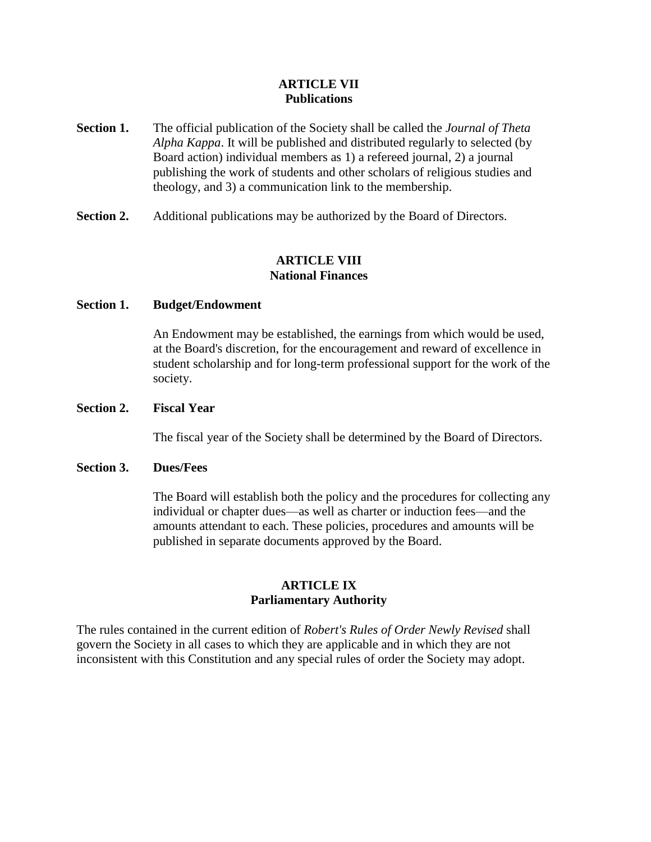### **ARTICLE VII Publications**

- **Section 1.** The official publication of the Society shall be called the *Journal of Theta Alpha Kappa*. It will be published and distributed regularly to selected (by Board action) individual members as 1) a refereed journal, 2) a journal publishing the work of students and other scholars of religious studies and theology, and 3) a communication link to the membership.
- **Section 2.** Additional publications may be authorized by the Board of Directors.

## **ARTICLE VIII National Finances**

#### **Section 1. Budget/Endowment**

An Endowment may be established, the earnings from which would be used, at the Board's discretion, for the encouragement and reward of excellence in student scholarship and for long-term professional support for the work of the society.

#### **Section 2. Fiscal Year**

The fiscal year of the Society shall be determined by the Board of Directors.

#### **Section 3. Dues/Fees**

The Board will establish both the policy and the procedures for collecting any individual or chapter dues—as well as charter or induction fees—and the amounts attendant to each. These policies, procedures and amounts will be published in separate documents approved by the Board.

#### **ARTICLE IX Parliamentary Authority**

The rules contained in the current edition of *Robert's Rules of Order Newly Revised* shall govern the Society in all cases to which they are applicable and in which they are not inconsistent with this Constitution and any special rules of order the Society may adopt.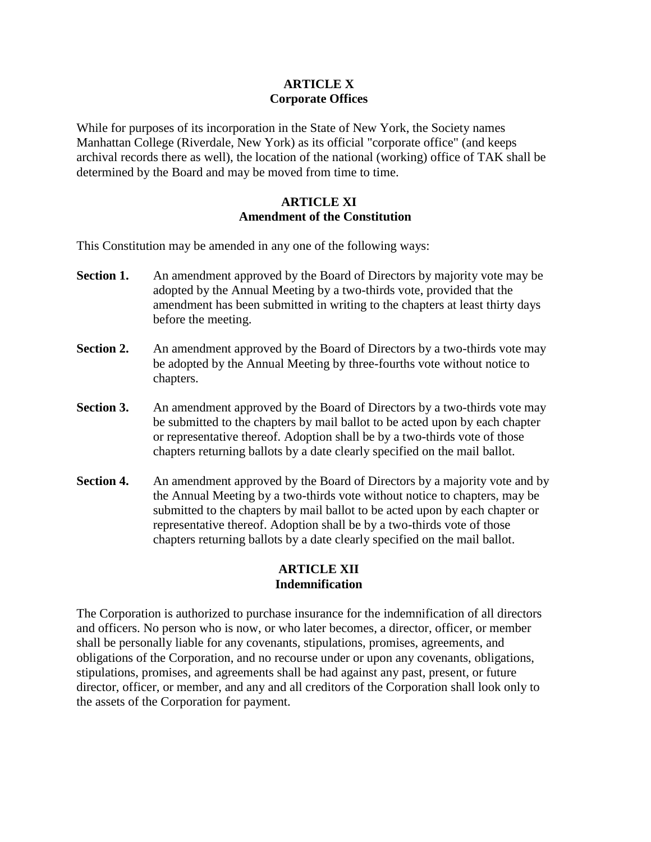### **ARTICLE X Corporate Offices**

While for purposes of its incorporation in the State of New York, the Society names Manhattan College (Riverdale, New York) as its official "corporate office" (and keeps archival records there as well), the location of the national (working) office of TAK shall be determined by the Board and may be moved from time to time.

### **ARTICLE XI Amendment of the Constitution**

This Constitution may be amended in any one of the following ways:

- **Section 1.** An amendment approved by the Board of Directors by majority vote may be adopted by the Annual Meeting by a two-thirds vote, provided that the amendment has been submitted in writing to the chapters at least thirty days before the meeting.
- **Section 2.** An amendment approved by the Board of Directors by a two-thirds vote may be adopted by the Annual Meeting by three-fourths vote without notice to chapters.
- **Section 3.** An amendment approved by the Board of Directors by a two-thirds vote may be submitted to the chapters by mail ballot to be acted upon by each chapter or representative thereof. Adoption shall be by a two-thirds vote of those chapters returning ballots by a date clearly specified on the mail ballot.
- **Section 4.** An amendment approved by the Board of Directors by a majority vote and by the Annual Meeting by a two-thirds vote without notice to chapters, may be submitted to the chapters by mail ballot to be acted upon by each chapter or representative thereof. Adoption shall be by a two-thirds vote of those chapters returning ballots by a date clearly specified on the mail ballot.

# **ARTICLE XII Indemnification**

The Corporation is authorized to purchase insurance for the indemnification of all directors and officers. No person who is now, or who later becomes, a director, officer, or member shall be personally liable for any covenants, stipulations, promises, agreements, and obligations of the Corporation, and no recourse under or upon any covenants, obligations, stipulations, promises, and agreements shall be had against any past, present, or future director, officer, or member, and any and all creditors of the Corporation shall look only to the assets of the Corporation for payment.